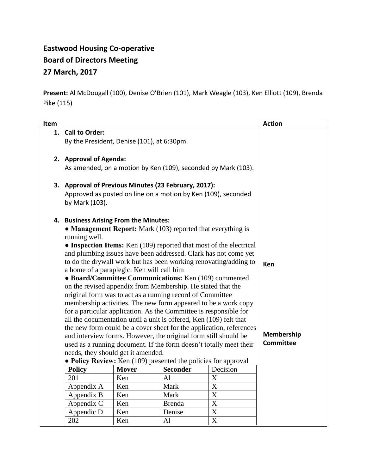## **Eastwood Housing Co-operative Board of Directors Meeting 27 March, 2017**

**Present:** Al McDougall (100), Denise O'Brien (101), Mark Weagle (103), Ken Elliott (109), Brenda Pike (115)

| Item |                                                                                                                                       |                  |                 |                       | <b>Action</b> |
|------|---------------------------------------------------------------------------------------------------------------------------------------|------------------|-----------------|-----------------------|---------------|
|      | 1. Call to Order:                                                                                                                     |                  |                 |                       |               |
|      | By the President, Denise (101), at 6:30pm.                                                                                            |                  |                 |                       |               |
|      |                                                                                                                                       |                  |                 |                       |               |
|      | 2. Approval of Agenda:                                                                                                                |                  |                 |                       |               |
|      | As amended, on a motion by Ken (109), seconded by Mark (103).                                                                         |                  |                 |                       |               |
|      |                                                                                                                                       |                  |                 |                       |               |
|      | 3. Approval of Previous Minutes (23 February, 2017):                                                                                  |                  |                 |                       |               |
|      | Approved as posted on line on a motion by Ken (109), seconded                                                                         |                  |                 |                       |               |
|      | by Mark (103).                                                                                                                        |                  |                 |                       |               |
|      | 4. Business Arising From the Minutes:                                                                                                 |                  |                 |                       |               |
|      | • Management Report: Mark (103) reported that everything is                                                                           |                  |                 |                       |               |
|      | running well.                                                                                                                         |                  |                 |                       |               |
|      | • Inspection Items: Ken (109) reported that most of the electrical<br>and plumbing issues have been addressed. Clark has not come yet |                  |                 |                       |               |
|      | to do the drywall work but has been working renovating/adding to                                                                      |                  |                 |                       |               |
|      | a home of a paraplegic. Ken will call him                                                                                             | Ken              |                 |                       |               |
|      | • Board/Committee Communications: Ken (109) commented                                                                                 |                  |                 |                       |               |
|      | on the revised appendix from Membership. He stated that the                                                                           |                  |                 |                       |               |
|      | original form was to act as a running record of Committee                                                                             |                  |                 |                       |               |
|      | membership activities. The new form appeared to be a work copy                                                                        |                  |                 |                       |               |
|      | for a particular application. As the Committee is responsible for                                                                     |                  |                 |                       |               |
|      | all the documentation until a unit is offered, Ken (109) felt that                                                                    |                  |                 |                       |               |
|      | the new form could be a cover sheet for the application, references                                                                   |                  |                 |                       |               |
|      | and interview forms. However, the original form still should be                                                                       | Membership       |                 |                       |               |
|      | used as a running document. If the form doesn't totally meet their                                                                    | <b>Committee</b> |                 |                       |               |
|      | needs, they should get it amended.                                                                                                    |                  |                 |                       |               |
|      | • Policy Review: Ken (109) presented the policies for approval                                                                        |                  |                 |                       |               |
|      | <b>Policy</b>                                                                                                                         | <b>Mover</b>     | <b>Seconder</b> | Decision              |               |
|      | 201                                                                                                                                   | Ken              | Al              | X                     |               |
|      | Appendix A                                                                                                                            | Ken              | Mark            | X                     |               |
|      | Appendix B                                                                                                                            | Ken              | Mark            | X                     |               |
|      | Appendix C                                                                                                                            | Ken              | <b>Brenda</b>   | X                     |               |
|      | Appendic D                                                                                                                            | Ken              | Denise          | X                     |               |
|      | 202                                                                                                                                   | Ken              | AI              | $\overline{\text{X}}$ |               |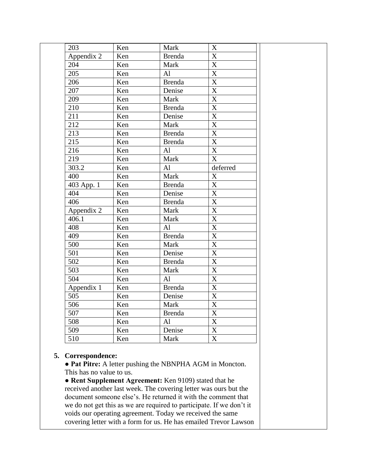| 203          | Ken | Mark          | $\boldsymbol{\mathrm{X}}$ |
|--------------|-----|---------------|---------------------------|
| Appendix $2$ | Ken | <b>Brenda</b> | $\boldsymbol{\mathrm{X}}$ |
| 204          | Ken | Mark          | $\mathbf X$               |
| 205          | Ken | AI            | $\overline{\text{X}}$     |
| 206          | Ken | <b>Brenda</b> | $\overline{\text{X}}$     |
| 207          | Ken | Denise        | $\overline{X}$            |
| 209          | Ken | Mark          | $\overline{\mathbf{X}}$   |
| 210          | Ken | <b>Brenda</b> | $\overline{\text{X}}$     |
| 211          | Ken | Denise        | $\overline{\text{X}}$     |
| 212          | Ken | Mark          | $\overline{\text{X}}$     |
| 213          | Ken | <b>Brenda</b> | $\overline{\text{X}}$     |
| 215          | Ken | <b>Brenda</b> | $\overline{\text{X}}$     |
| 216          | Ken | AI            | $\overline{X}$            |
| 219          | Ken | Mark          | $\overline{\mathbf{X}}$   |
| 303.2        | Ken | Al            | deferred                  |
| 400          | Ken | Mark          | $\mathbf X$               |
| 403 App. 1   | Ken | <b>Brenda</b> | $\overline{\mathbf{X}}$   |
| 404          | Ken | Denise        | $\overline{\text{X}}$     |
| 406          | Ken | <b>Brenda</b> | $\boldsymbol{\mathrm{X}}$ |
| Appendix 2   | Ken | Mark          | $\overline{\text{X}}$     |
| 406.1        | Ken | Mark          | $\overline{\mathbf{X}}$   |
| 408          | Ken | AI            | $\mathbf X$               |
| 409          | Ken | <b>Brenda</b> | $\mathbf X$               |
| 500          | Ken | Mark          | $\overline{\text{X}}$     |
| 501          | Ken | Denise        | $\overline{\mathbf{X}}$   |
| 502          | Ken | <b>Brenda</b> | $\overline{X}$            |
| 503          | Ken | Mark          | $\overline{\text{X}}$     |
| 504          | Ken | Al            | $\overline{\text{X}}$     |
| Appendix $1$ | Ken | <b>Brenda</b> | $\overline{X}$            |
| 505          | Ken | Denise        | $\overline{\text{X}}$     |
| 506          | Ken | Mark          | $\mathbf X$               |
| 507          | Ken | <b>Brenda</b> | $\mathbf X$               |
| 508          | Ken | Al            | X                         |
| 509          | Ken | Denise        | $\mathbf X$               |
| 510          | Ken | Mark          | $\overline{\text{X}}$     |

## **5. Correspondence:**

**● Pat Pitre:** A letter pushing the NBNPHA AGM in Moncton. This has no value to us.

**● Rent Supplement Agreement:** Ken 9109) stated that he received another last week. The covering letter was ours but the document someone else's. He returned it with the comment that we do not get this as we are required to participate. If we don't it voids our operating agreement. Today we received the same covering letter with a form for us. He has emailed Trevor Lawson